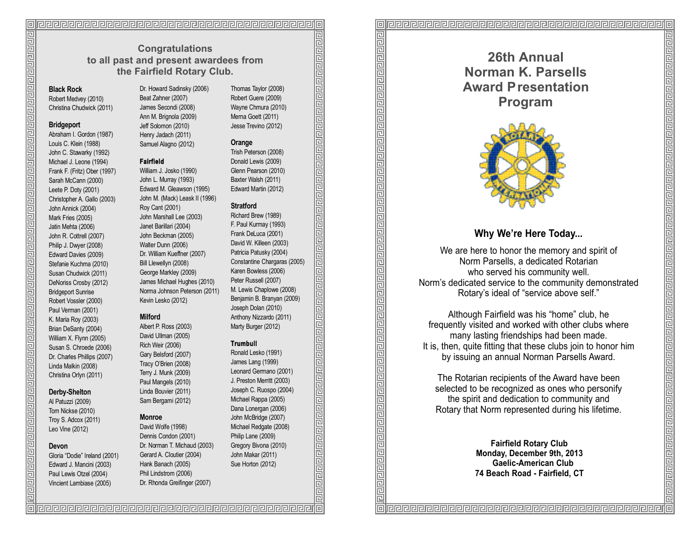## **Congratulations to all past and present awardees from the Fairfield Rotary Club.**

### **Black Rock**

Robert Medvey (2010) Christina Chudwick (2011 )

### **Bridgeport**

Abraham I. Gordon (1987) Louis C. Klein (1988) John C. Stawarky (1992) Michael J. Leone (1994) Frank F. (Fritz) Ober (1997) Sarah McCann (2000) Leete P. Doty (2001) Christopher A. Gallo (2003) John Annick (2004) Mark Fries (2005) Jatin Mehta (2006) John R. Cottrell (2007) Philip J. Dwyer (2008) Edward Davies (2009) Stefanie Kuchma (2010) Susan Chudwick (2011 ) DeNoriss Crosby (2012) Bridgeport Sunrise Robert Vossler (2000) Paul Verman (2001) K. Maria Roy (2003) Brian DeSanty (2004) William X. Flynn (2005) Susan S. Chroede (2006) Dr. Charles Phillips (2007) Linda Malkin (2008) Christina Orlyn (2011)

### **Derby-Shelton**

Al Patuzzi (2009) Tom Nickse (2010) Troy S. Adcox (2011 ) Leo Vine (2012)

### Devon

Gloria "Dodie" Ireland (2001) Edward J. Mancini (2003) Paul Lewis Otzel (2004) Vincient Lambiase (2005)

Dr. Howard Sadinsky (2006) Beat Zahner (2007) James Secondi (2008) Ann M. Brignola (2009) Jeff Solomon (2010) Henry Jadach (2011) Samuel Alagno (2012)

### **F a i r f i e l d**

William J. Josko (1990) John L. Murray (1993) Edward M. Gleawson (1995) John M. (Mack) Leask II (1996) Roy Cant (2001) John Marshall Lee (2003) Janet Barillari (2004) John Beckman (2005) Walter Dunn (2006) Dr. William Kueffner (2007) Bill Llewellyn (2008) George Markley (2009) James Michael Hughes (2010) Norma Johnson Peterson (2011 ) Kevin Lesko (2012)

### **Milford**

Albert P. Ross (2003) David Ullman (2005) Rich Weir (2006) Gary Belsford (2007) Tracy O'Brien (2008) Terry J. Munk (2009) Paul Mangels (2010) Linda Bouvier (2011) Sam Bergami (2012)

### **Monroe**

David Wolfe (1998) Dennis Condon (2001) Dr. Norman T. Michaud (2003) Gerard A. Cloutier (2004) Hank Banach (2005) Phil Lindstrom (2006) Dr. Rhonda Greifinger (2007)

Thomas Taylor (2008) Robert Guere (2009) Wayne Chmura (2010) Merna Goett (2011) Jesse Trevino (2012)

### **Orange**

Trish Peterson (2008) Donald Lewis (2009) Glenn Pearson (2010) Baxter Walsh (2011) Edward Martin (2012)

### **Stratford**

Richard Brew (1989) F. Paul Kurmay (1993) Frank DeLuca (2001) David W. Killeen (2003) Patricia Patusky (2004) Constantine Chargaras (2005) Karen Bowless (2006) Peter Russell (2007) M. Lewis Chaplowe (2008) Benjamin B. Branyan (2009) Joseph Dolan (2010) Anthony Nizzardo (2011) Marty Burger (2012)

<u>ति विद्यान कार्यान कार्यान कार्यान कार्यान कार्यान कार्यान कार्यान कार्यान कार्यान कार्यान कार्यान कार्यान कार</u>

### **Trumbull**

Ronald Lesko (1991) James Lang (1999) Leonard Germano (2001) J. Preston Merritt (2003) Joseph C. Ruospo (2004) Michael Rappa (2005) Dana Lonergan (2006) John McBridge (2007) Michael Redgate (2008) Philip Lane (2009) Gregory Bivona (2010) John Makar (2011) Sue Horton (2012)

**26th Annual Norman K. Parsells Award Presentation Program**



# **Why We're Here Today...**

We are here to honor the memory and spirit of Norm Parsells, a dedicated Rotarian who served his community well. Norm's dedicated service to the community demonstrated Rotary's ideal of "service above self."

واقاقا والمواق والمواق والمواق والمواق والمواق والمواق والمواق والمواق والمواق والمواق والمواق والمواق والمواق

Although Fairfield was his "home" club, he frequently visited and worked with other clubs where many lasting friendships had been made. It is, then, quite fitting that these clubs join to honor him by issuing an annual Norman Parsells Award.

The Rotarian recipients of the Award have been selected to be recognized as ones who personify the spirit and dedication to community and Rotary that Norm represented during his lifetime.

> **Fairfield Rotary Club Monday, December 9th, 2013 Gaelic-American Club 74 Beach Road - Fairfield, CT**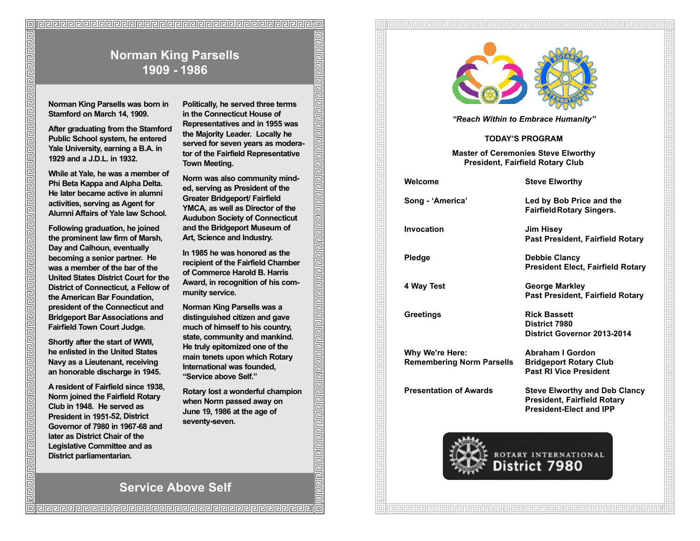# **Norman King Parsells was born in Stamford on March 14, 1909. Norman King Parsells 1909 - 1986**

**After graduating from the Stamford Public School system, he entered Yale University, earning a B.A. in 1929 and a J.D.L. in 1932.** 

**While at Yale, he was a member of Phi Beta Kappa and Alpha Delta. He later became active in alumni activities, serving as Agent for Alumni Affairs of Yale law School.**

**Following graduation, he joined the prominent law firm of Marsh, Day and Calhoun, eventually becoming a senior partner. He was a member of the bar of the United States District Court for the District of Connecticut, a Fellow of the American Bar Foundation, president of the Connecticut and Bridgeport Bar Associations and Fairfield Town Court Judge.**

إواقات والمروا والمروا والمروا والمروا والمروا والمروا والمروا والمروا والمروا والمروا والمروا والمروا والمروا والمروا والمرا

**Shortly after the start of WWII, he enlisted in the United States Navy as a Lieutenant, receiving an honorable discharge in 1945.**

**A resident of Fairfield since 1938, Norm joined the Fairfield Rotary Club in 1948. He served as President in 1951-52, District Governor of 7980 in 1967-68 and later as District Chair of the Legislative Committee and as District parliamentarian.**

**Politically, he served three terms in the Connecticut House of Representatives and in 1955 was the Majority Leader. Locally he served for seven years as moderator of the Fairfield Representative Town Meeting.**

**Norm was also community minded, serving as President of the Greater Bridgeport/ Fairfield YMCA, as well as Director of the Audubon Society of Connecticut and the Bridgeport Museum of Art, Science and Industry.**

**In 1985 he was honored as the recipient of the Fairfield Chamber of Commerce Harold B. Harris Award, in recognition of his community service.**

واقاوا والواقا والواقا والماقا والماقا والماقا والماقا والماقا والماقا والماقا والماقا والماقا والماقا والماقا والماقا

**Norman King Parsells was a distinguished citizen and gave much of himself to his country, state, community and mankind. He truly epitomized one of the main tenets upon which Rotary International was founded, "Service above Self."**

**Rotary lost a wonderful champion when Norm passed away on June 19, 1986 at the age of** seventy-seven.



*"Reach Within to Embrace Humanity"* 

### **TODAY'S PROGRAM**

**Master of Ceremonies Steve Elworthy President, Fairfield Rotary Club**

**Welcome Steve Elworthy**

**Song - 'America' Led by Bob Price and the** 

**Invocation Jim Hisey**

**Pledge Debbie Clancy** 

**Why We're Here: Abraham I Gordon Remembering Norm Parsells Bridgeport Rotary Club**

**Past President, Fairfield Rotary**

**FairfieldRotary Singers.**

**President Elect, Fairfield Rotary**

**4 Way Test George Markley Past President, Fairfield Rotary**

**Greetings Rick Bassett District 7980 District Governor 2013-2014** 

**Past RI Vice President**

**Presentation of Awards Steve Elworthy and Deb Clancy President, Fairfield Rotary President-Elect and IPP**



**Service Above Self**

@@@@@@@@@@@@@@@@@@@@@@@@@@@@@@@@@@@@@@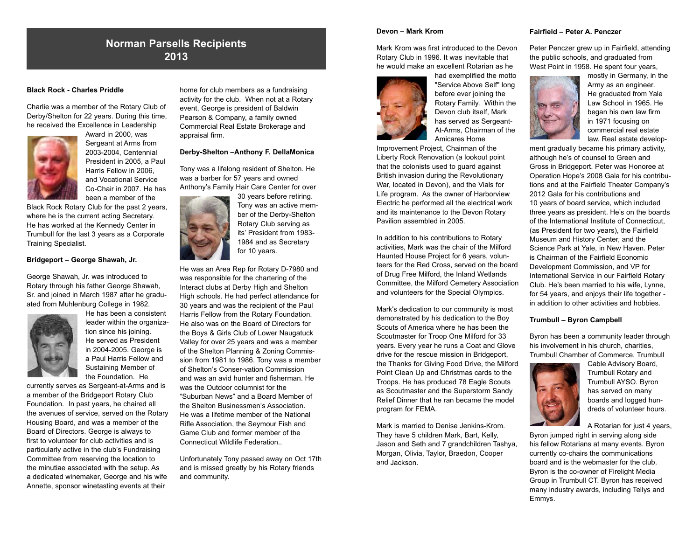# **Norman Parsells Recipients 2013**

### **Black Rock - Charles Priddle**

Charlie was a member of the Rotary Club of Derby/Shelton for 22 years. During this time, he received the Excellence in Leadership



Award in 2000, was Sergeant at Arms from 2003-2004, Centennial President in 2005, a Paul Harris Fellow in 2006, and Vocational Service Co-Chair in 2007. He has been a member of the

Black Rock Rotary Club for the past 2 years, where he is the current acting Secretary. He has worked at the Kennedy Center in Trumbull for the last 3 years as a Corporate Training Specialist.

### **Bridgeport – George Shawah, Jr.**

George Shawah, Jr. was introduced to Rotary through his father George Shawah, Sr. and joined in March 1987 after he graduated from Muhlenburg College in 1982.



He has been a consistent leader within the organization since his joining. He served as President in 2004-2005. George is a Paul Harris Fellow and Sustaining Member of the Foundation. He

currently serves as Sergeant-at-Arms and is a member of the Bridgeport Rotary Club Foundation. In past years, he chaired all the avenues of service, served on the Rotary Housing Board, and was a member of the Board of Directors. George is always to first to volunteer for club activities and is particularly active in the club's Fundraising Committee from reserving the location to the minutiae associated with the setup. As a dedicated winemaker, George and his wife Annette, sponsor winetasting events at their

home for club members as a fundraising activity for the club. When not at a Rotary event, George is president of Baldwin Pearson & Company, a family owned Commercial Real Estate Brokerage and appraisal firm.

### **Derby-Shelton –Anthony F. DellaMonica**

Tony was a lifelong resident of Shelton. He was a barber for 57 years and owned Anthony's Family Hair Care Center for over



30 years before retiring. Tony was an active member of the Derby-Shelton Rotary Club serving as its' President from 1983- 1984 and as Secretary for 10 years.

He was an Area Rep for Rotary D-7980 and was responsible for the chartering of the Interact clubs at Derby High and Shelton High schools. He had perfect attendance for 30 years and was the recipient of the Paul Harris Fellow from the Rotary Foundation. He also was on the Board of Directors for the Boys & Girls Club of Lower Naugatuck Valley for over 25 years and was a member of the Shelton Planning & Zoning Commission from 1981 to 1986. Tony was a member of Shelton's Conser-vation Commission and was an avid hunter and fisherman. He was the Outdoor columnist for the "Suburban News" and a Board Member of the Shelton Businessmen's Association. He was a lifetime member of the National Rifle Association, the Seymour Fish and Game Club and former member of the Connecticut Wildlife Federation..

Unfortunately Tony passed away on Oct 17th and is missed greatly by his Rotary friends and community.

### **Devon – Mark Krom**

Mark Krom was first introduced to the Devon Rotary Club in 1996. It was inevitable that he would make an excellent Rotarian as he



had exemplified the motto "Service Above Self" long before ever joining the Rotary Family. Within the Devon club itself, Mark has served as Sergeant-At-Arms, Chairman of the Amicares Home

Improvement Project, Chairman of the Liberty Rock Renovation (a lookout point that the colonists used to guard against British invasion during the Revolutionary War, located in Devon), and the Vials for Life program. As the owner of Harborview Electric he performed all the electrical work and its maintenance to the Devon Rotary Pavilion assembled in 2005.

In addition to his contributions to Rotary activities, Mark was the chair of the Milford Haunted House Project for 6 years, volunteers for the Red Cross, served on the board of Drug Free Milford, the Inland Wetlands Committee, the Milford Cemetery Association and volunteers for the Special Olympics.

Mark's dedication to our community is most demonstrated by his dedication to the Boy Scouts of America where he has been the Scoutmaster for Troop One Milford for 33 years. Every year he runs a Coat and Glove drive for the rescue mission in Bridgeport, the Thanks for Giving Food Drive, the Milford Point Clean Up and Christmas cards to the Troops. He has produced 78 Eagle Scouts as Scoutmaster and the Superstorm Sandy Relief Dinner that he ran became the model program for FEMA.

Mark is married to Denise Jenkins-Krom. They have 5 children Mark, Bart, Kelly, Jason and Seth and 7 grandchildren Tashya, Morgan, Olivia, Taylor, Braedon, Cooper and Jackson.

### **Fairfield – Peter A. Penczer**

Peter Penczer grew up in Fairfield, attending the public schools, and graduated from West Point in 1958. He spent four years.



mostly in Germany, in the Army as an engineer. He graduated from Yale Law School in 1965. He began his own law firm in 1971 focusing on commercial real estate law. Real estate develop-

ment gradually became his primary activity, although he's of counsel to Green and Gross in Bridgeport. Peter was Honoree at Operation Hope's 2008 Gala for his contributions and at the Fairfield Theater Company's 2012 Gala for his contributions and 10 years of board service, which included three years as president. He's on the boards of the International Institute of Connecticut, (as President for two years), the Fairfield Museum and History Center, and the Science Park at Yale, in New Haven. Peter is Chairman of the Fairfield Economic Development Commission, and VP for International Service in our Fairfield Rotary Club. He's been married to his wife, Lynne, for 54 years, and enjoys their life together in addition to other activities and hobbies.

### **Trumbull – Byron Campbell**

Byron has been a community leader through his involvement in his church, charities, Trumbull Chamber of Commerce, Trumbull



Cable Advisory Board, Trumbull Rotary and Trumbull AYSO. Byron has served on many boards and logged hundreds of volunteer hours.

A Rotarian for just 4 years,

Byron jumped right in serving along side his fellow Rotarians at many events. Byron currently co-chairs the communications board and is the webmaster for the club. Byron is the co-owner of Firelight Media Group in Trumbull CT. Byron has received many industry awards, including Tellys and Emmys.